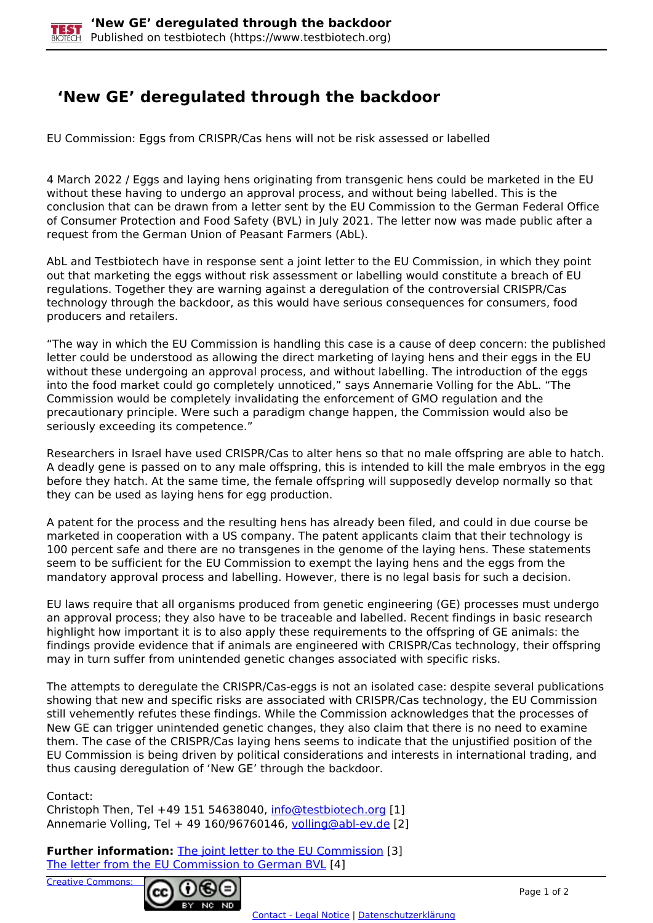## **'New GE' deregulated through the backdoor**

EU Commission: Eggs from CRISPR/Cas hens will not be risk assessed or labelled

4 March 2022 / Eggs and laying hens originating from transgenic hens could be marketed in the EU without these having to undergo an approval process, and without being labelled. This is the conclusion that can be drawn from a letter sent by the EU Commission to the German Federal Office of Consumer Protection and Food Safety (BVL) in July 2021. The letter now was made public after a request from the German Union of Peasant Farmers (AbL).

AbL and Testbiotech have in response sent a joint letter to the EU Commission, in which they point out that marketing the eggs without risk assessment or labelling would constitute a breach of EU regulations. Together they are warning against a deregulation of the controversial CRISPR/Cas technology through the backdoor, as this would have serious consequences for consumers, food producers and retailers.

"The way in which the EU Commission is handling this case is a cause of deep concern: the published letter could be understood as allowing the direct marketing of laying hens and their eggs in the EU without these undergoing an approval process, and without labelling. The introduction of the eggs into the food market could go completely unnoticed," says Annemarie Volling for the AbL. "The Commission would be completely invalidating the enforcement of GMO regulation and the precautionary principle. Were such a paradigm change happen, the Commission would also be seriously exceeding its competence."

Researchers in Israel have used CRISPR/Cas to alter hens so that no male offspring are able to hatch. A deadly gene is passed on to any male offspring, this is intended to kill the male embryos in the egg before they hatch. At the same time, the female offspring will supposedly develop normally so that they can be used as laying hens for egg production.

A patent for the process and the resulting hens has already been filed, and could in due course be marketed in cooperation with a US company. The patent applicants claim that their technology is 100 percent safe and there are no transgenes in the genome of the laying hens. These statements seem to be sufficient for the EU Commission to exempt the laying hens and the eggs from the mandatory approval process and labelling. However, there is no legal basis for such a decision.

EU laws require that all organisms produced from genetic engineering (GE) processes must undergo an approval process; they also have to be traceable and labelled. Recent findings in basic research highlight how important it is to also apply these requirements to the offspring of GE animals: the findings provide evidence that if animals are engineered with CRISPR/Cas technology, their offspring may in turn suffer from unintended genetic changes associated with specific risks.

The attempts to deregulate the CRISPR/Cas-eggs is not an isolated case: despite several publications showing that new and specific risks are associated with CRISPR/Cas technology, the EU Commission still vehemently refutes these findings. While the Commission acknowledges that the processes of New GE can trigger unintended genetic changes, they also claim that there is no need to examine them. The case of the CRISPR/Cas laying hens seems to indicate that the unjustified position of the EU Commission is being driven by political considerations and interests in international trading, and thus causing deregulation of 'New GE' through the backdoor.

Contact:

Christoph Then, Tel +49 151 54638040, [info@testbiotech.org](mailto:info@testbiotech.org) [1] Annemarie Volling, Tel + 49 160/96760146, volling@abl-ev.de [2]

**Further information:** The joint letter to the EU Commission [3] The letter from the EU Commission to German BVL [4]